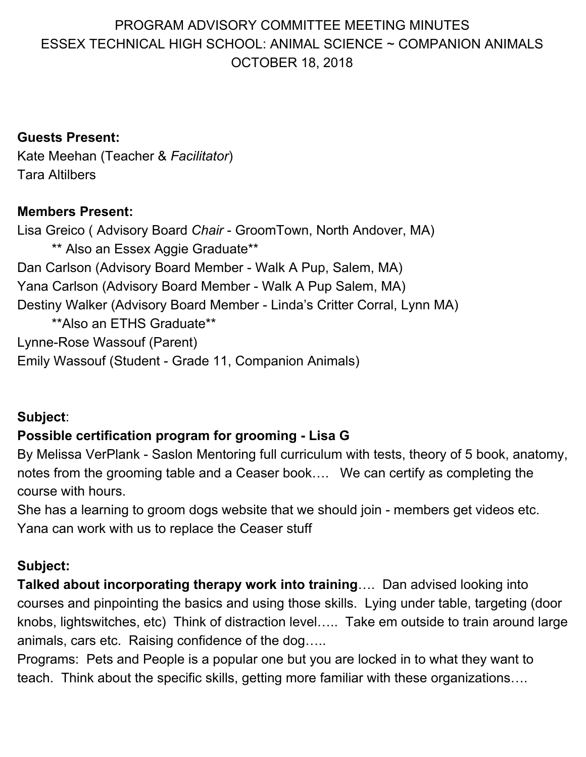# PROGRAM ADVISORY COMMITTEE MEETING MINUTES ESSEX TECHNICAL HIGH SCHOOL: ANIMAL SCIENCE ~ COMPANION ANIMALS OCTOBER 18, 2018

#### **Guests Present:**

Kate Meehan (Teacher & *Facilitator*) Tara Altilbers

#### **Members Present:**

Lisa Greico ( Advisory Board *Chair* - GroomTown, North Andover, MA) \*\* Also an Essex Aggie Graduate\*\* Dan Carlson (Advisory Board Member - Walk A Pup, Salem, MA) Yana Carlson (Advisory Board Member - Walk A Pup Salem, MA) Destiny Walker (Advisory Board Member - Linda's Critter Corral, Lynn MA) \*\*Also an ETHS Graduate\*\* Lynne-Rose Wassouf (Parent) Emily Wassouf (Student - Grade 11, Companion Animals)

#### **Subject**:

#### **Possible certification program for grooming - Lisa G**

By Melissa VerPlank - Saslon Mentoring full curriculum with tests, theory of 5 book, anatomy, notes from the grooming table and a Ceaser book…. We can certify as completing the course with hours.

She has a learning to groom dogs website that we should join - members get videos etc. Yana can work with us to replace the Ceaser stuff

#### **Subject:**

**Talked about incorporating therapy work into training**…. Dan advised looking into courses and pinpointing the basics and using those skills. Lying under table, targeting (door knobs, lightswitches, etc) Think of distraction level….. Take em outside to train around large animals, cars etc. Raising confidence of the dog…..

Programs: Pets and People is a popular one but you are locked in to what they want to teach. Think about the specific skills, getting more familiar with these organizations….